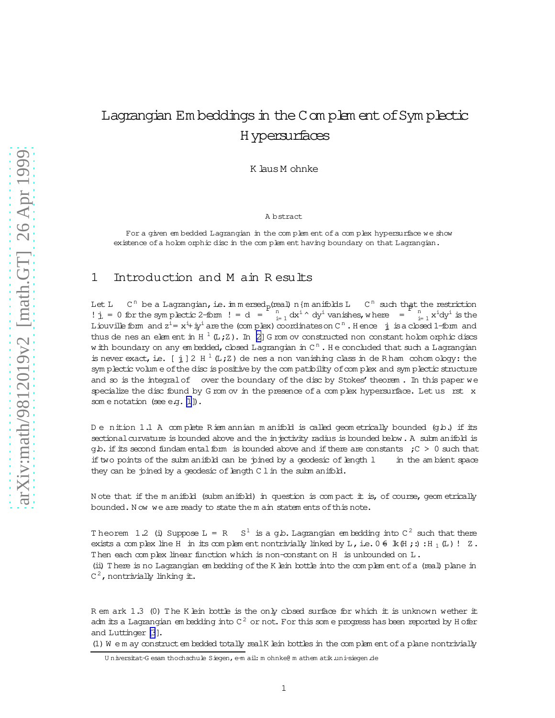## <span id="page-0-0"></span>Lagrangian Em beddings in the Complem ent of Symplectic Hypersurfaces

K laus M ohnke

A bstract

For a given em bedded Lagrangian in the complem ent of a complex hypersurface we show existence ofa holom orphic disc in the com plem ent having boundary on that Lagrangian.

## 1 Introduction and M ain R esults

Let L n be a Lagrangian, i.e. in m ersed p(real) n {m anifolds L  $C^n$  such that the restriction  $\pm$  j = 0 for the symplectic 2-form  $!=$  d =  $\pm$   $\frac{n}{i+1}$  dx<sup>i</sup>  $\sim$  dy<sup>i</sup> vanishes, where =  $\pm$   $\frac{n}{i+1}$  x<sup>i</sup>dy<sup>i</sup> is the Liouville form and  $z^i = x^{i_+} \pm y^i$  are the (com plex) coordinates on C<sup>n</sup>. Hence  $\pm$  is a closed 1-form and thus de nes an elem ent in  $H^{-1}(L;Z)$ . In [\[2\]](#page-3-0) G rom ov constructed non constant holom orphic discs w ith boundary on any em bedded, closed Lagrangian in C<sup>n</sup> . He concluded that such a Lagrangian is never exact, i.e.  $[\frac{1}{\mu}]$  2 H<sup>1</sup> (L;Z) de nes a non vanishing class in de R ham cohom ology: the sym plectic volum e of the disc is positive by the com patibility of complex and sym plectic structure and so is the integral of over the boundary of the disc by Stokes' theorem. In this paper we specialize the disc found by G rom ov in the presence of a complex hypersurface. Let us rst x som e notation (see e.g. [\[1](#page-3-0)]).

D e nition 1.1 A complete Riem annian m anifold is called geometrically bounded (gb.) if its sectional curvature is bounded above and the injectivity radius is bounded below. A subm anifold is g.b. if its second fundam ental form is bounded above and if there are constants  $C > 0$  such that if two points of the subm anifold can be joined by a geodesic of length  $1$  in the am bient space they can be joined by a geodesic of length  $C 1$  in the subm anifold.

N ote that if the m anifold (subm anifold) in question is com pact it is, of course, geom etrically bounded. Now we are ready to state the m ain statem ents of this note.

Theorem 1.2 (i) Suppose  $L = R - S^1$  is a g.b. Lagrangian embedding into  $C^2$  such that there exists a complex line H in its complem ent nontrivially linked by L, i.e.  $0 \in \mathbb{R}(\mathbb{H};:):H_1(\mathbb{L})$ ! Z. Then each complex linear function which is non-constant on H is unbounded on  $L$ .

(ii) There is no Lagrangian em bedding ofthe K lein bottle into the com plem entofa (real) plane in  $C^2$ , nontrivially linking it.

R em ark  $1.3$  (0) The K lein bottle is the only closed surface for which it is unknown wether it adm its a Lagrangian em bedding into C  $^2$  or not. For this som e progress has been reported by H ofer and Luttinger [\[3](#page-3-0)].

(1) W e m ay construct em bedded totally realK lein bottles in the complem ent of a plane nontrivially

Universitat-G esam thochschule Siegen, e-m ail: m ohnke@ m athem atik.uni-siegen.de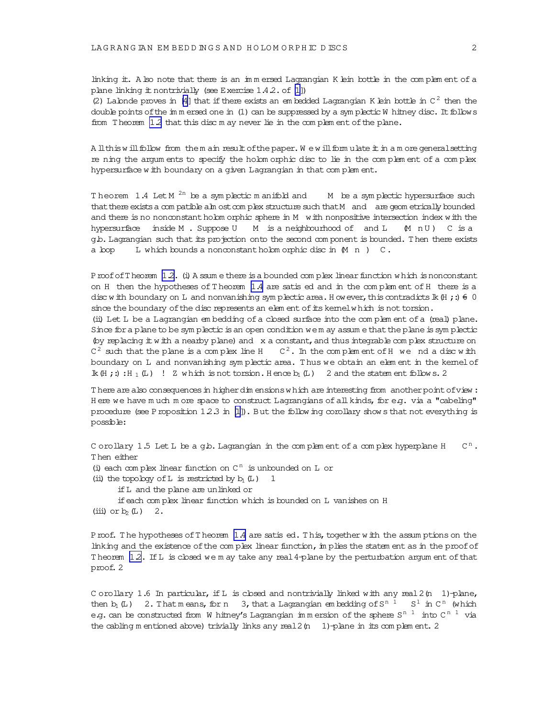<span id="page-1-0"></span>linking it. A lso note that there is an immersed Lagrangian K lein bottle in the complement of a plane linking it nontrivially (see Exercise  $1.4.2$ . of  $[1]$ )

(2) Labnde proves in [\[4\]](#page-3-0) that if there exists an em bedded Lagrangian K lein bottle in  $C^2$  then the double points of the im m ersed one in  $(1)$  can be suppressed by a sym plectic W hitney disc. It follows from Theorem [1.2](#page-0-0) that this disc m ay never lie in the complem ent of the plane.

A llthis w ill follow from the m ain result of the paper. We w ill form ulate it in a m ore general setting rening the argum ents to specify the holom orphic disc to lie in the com plem ent of a com plex hypersurface w ith boundary on a given Lagrangian in that complem ent.

Theorem 1.4 Let M<sup>2n</sup> be a symplectic manifold and M be a symplectic hypersurface such that there exists a com patible alm ost com plex structure such that M and are geom etrically bounded and there is no nonconstant holom orphic sphere in M  $\,$  with nonpositive intersection index with the hypersurface inside M. Suppose U M is a neighbourhood of and L M n U) C is a g.b.Lagrangian such thatits projection onto the second com ponent is bounded. Then there exists a loop L which bounds a nonconstant holom orphic disc in  $(M n)$  C.

Proof of Theorem [1.2.](#page-0-0) (i) A ssum e there is a bounded complex linear function w hich is nonconstant on H then the hypotheses of T heorem 1.4 are satised and in the com plem ent ofH there is a disc w ith boundary on L and nonvanishing symplectic area. H owever, this contradicts  $\mathbb{k}$  (H ; :)  $\in$  0 since the boundary of the disc represents an elem ent of its kernel w hich is not torsion.

(ii) Let L be a Lagrangian em bedding ofa closed surface into the com plem ent ofa (real) plane. Since for a plane to be sym plectic is an open condition we m ay assum e that the plane is sym plectic (by replacing  $#$  w  $#$ h a nearby plane) and  $x$  a constant, and thus integrable com plex structure on  $C^2$  such that the plane is a complex line H  $C^2$ . In the complem ent of H we nd a disc with boundary on L and nonvanishing symplectic area. Thus we obtain an element in the kernel of  $\mathbb{R}(\mathbb{H};:):$  H<sub>1</sub>(L) ! Z w hich is not torsion. H ence  $b_1(L)$  2 and the statem ent follow s. 2

T here are also consequences in higher dim ensions w hich are interesting from another point of view : H ere we have much m ore space to construct Lagrangians of all kinds, for e.g. via a "cabeling" procedure (see Proposition 12.3 in [\[1\]](#page-3-0)). But the follow ing corollary show s that not everything is possible:

C orollary 1.5 Let  $L$  be a g.b. Lagrangian in the complem ent of a complex hyperplane H  $C<sup>n</sup>$ . Then either (i) each complex linear function on  $C<sup>n</sup>$  is unbounded on L or (ii) the topology of L is restricted by  $b_1(L)$  1 ifL and the plane are unlinked or ifeach com plex linear function which is bounded on L vanishes on H (iii) or  $b_2(L)$  2.

Proof. The hypotheses of Theorem 1.4 are satis ed. This, together with the assum ptions on the linking and the existence of the complex linear function, in plies the statem ent as in the proof of Theorem 12. If L is closed we m ay take any real 4-plane by the perturbation argum ent of that proof.2

C orollary 1.6 In particular, if L is closed and nontrivially linked with any real  $2(n \ 1)$ -plane, then  $b_1$  (L) 2. That means, for n 3, that a Lagrangian embedding of  $S^{n-1}$   $S^1$  in  $C^n$  (which e.g. can be constructed from W hitney's Lagrangian immersion of the sphere S<sup>n 1</sup> into C<sup>n 1</sup> via the cabling m entioned above) trivially links any real 2 (n 1)-plane in its complem ent. 2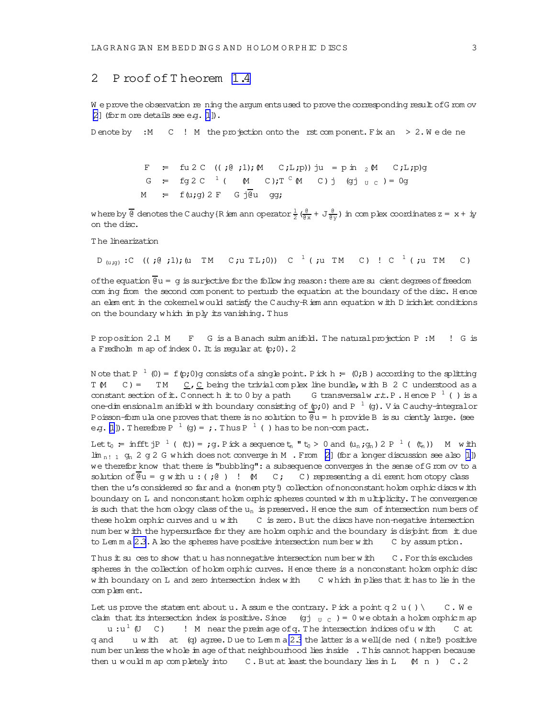## 2 Proof of Theorem 1.4

We prove the observation re ning the argum ents used to prove the corresponding result of G rom ov  $[2]$  (for m ore details see e.g.  $[1]$ ).

D enote by : M C ! M the projection onto the rst component. Fix an  $> 2.$  W e de ne

F = fu2C  $((;0;1); M (C;L;p))$  ju = p in 2 M C;L;p)g G =  $\text{fg } 2C^{-1}$  (  $\text{M}$  C); T <sup>C</sup>  $\text{M}$  C) j (gj <sub>U C</sub>) = 0g  $M = f(u;g) 2 F G j\overline{du} g;$ 

where by  $\frac{1}{\theta}$  denotes the C auchy {R iem ann operator  $\frac{1}{2}$  ( $\frac{\theta}{\theta x}$  + J  $\frac{\theta}{\theta y}$ ) in complex coordinates z = x + iy on the disc.

The linearization

 $D_{(u,g)}$ :C  $((e, e), 1)$ ; (u TM C;u TL;0)) C <sup>1</sup> (;u TM C) ! C <sup>1</sup> (;u TM  $C)$ 

of the equation  $\overline{\theta}u = g$  is surjective for the follow ing reason: there are su cient degrees of freedom com ing from the second component to perturb the equation at the boundary of the disc. Hence an element in the cokemel would satisfy the C auchy-R iem ann equation with D inichlet conditions on the boundary which imply its vanishing. Thus

Proposition 2.1 M F G is a Banach submanifold. The natural projection P : M ! G is a Fredholm map of index  $0$ . It is reqular at  $(p;0)$ . 2

Note that P<sup>1</sup> (0) = f(p;0)g consists of a single point. Pick h =  $(0;B)$  according to the splitting T M C) = TM  $C$ , C being the trivial complex line bundle, with B 2 C understood as a constant section of it. Connect h it to 0 by a path G transversal w.r.t. P. Hence P  $^1$  () is a one-dim ensionalm anifold with boundary consisting of  $(p,0)$  and P  $^{-1}$  (g). V ia C auchy-integral or Poisson-form ula one proves that there is no solution to  $\overline{\theta}u = h$  provide B is su ciently large. (see eq. [1]). Therefore  $P^{-1}(q) = j$ . Thus  $P^{-1}(j)$  has to be non-compact.

Let  $t_0$  = infft jP  $^1$  ((t)) = ;g. Pick a sequence  $t_n$  " $t_0 > 0$  and  $(u_n; g_n) 2 P^{-1}$  ( $(t_n)$ ) M with  $\lim_{n \to \infty} g_n$  2 q 2 G which does not converge in M . From [2] (for a longer discussion see also [1]) we therefor know that there is "bubbling": a subsequence converges in the sense of G rom ov to a solution of  $\overline{e}u = q$  with  $u : (i\theta)$  !  $M$  C; C) representing a dierent hom otopy class then the u's considered so far and a (nonem pty!) collection of nonconstant holom orphic discs with boundary on L and nonconstant holom orphic spheres counted with multiplicity. The convergence is such that the homology class of the  $u_n$  is preserved. Hence the sum of intersection numbers of these holom orphic curves and u with C is zero. But the discs have non-negative intersection number with the hypersurface for they are holom orphic and the boundary is disjont from it due to Lemma 2.3. A lso the spheres have positive intersection number with C by assumption.

Thus it su ces to show that u has nonnegative intersection number with C. For this excludes spheres in the collection of holomorphic curves. Hence there is a nonconstant holomorphic disc with boundary on L and zero intersection index with C which in plies that it has to lie in the complement.

Let us prove the statem ent about  $u$ . A ssum e the contrary. Pick a point q 2  $u() \setminus$ C.We claim that its intersection index is positive. Since (gj  $_U$  c) = 0 we obtain a holom orphic m ap  $u:u^1$  (U C) ! M near the preimage of q. The intersection indices of u with C at u with at (q) agree. Due to Lemma 2.3 the latter is a well (de ned (nite!) positive q and num ber unless the whole in age of that neighbourhood lies inside . This cannot happen because then u would m ap completely into  $C$ . But at least the boundary lies in L  $(M n)$  C. 2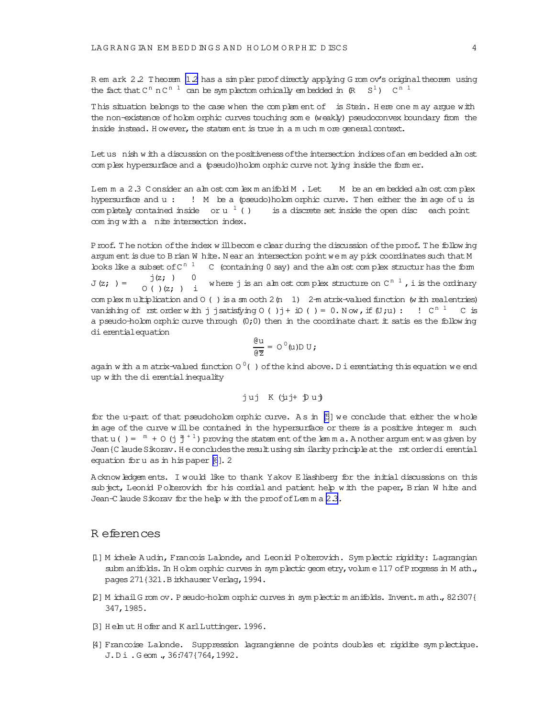<span id="page-3-0"></span>R em ark 2.2 Theorem [1.2](#page-0-0) has a simpler proof directly applying G rom ov's original theorem using the fact that  $C^{n}$  n  $C^{n-1}$  can be symplectom orhically em bedded in  $(R S^{1})$   $C^{n-1}$ 

This situation belongs to the case when the complem ent of is Stein. Here one m ay argue with the non-existence of holom orphic curves touching som e (weakly) pseudoconvex boundary from the inside instead. However, the statem ent is true in a m uch m ore general context.

Let us nish w ith a discussion on the positiveness of the intersection indices of an em bedded alm ost com plex hypersurface and a (pseudo)holom orphic curve not lying inside the form er.

Lem m a 2.3 Consider an alm ost com lex m anifold M . Let M be an embedded alm ost complex hypersurface and u : ! M be a (pseudo)holom orphic curve. Then either the im age ofu is com pletely contained inside or u<sup>1</sup> () is a discrete set inside the open disc each point com ing with a nite intersection index.

Proof. The notion of the index w ill become clear during the discussion of the proof. The follow ing argum ent is due to Brian W hite. Near an intersection point we m ay pick coordinates such that M looks like a subset of  $C^{n-1}$  C (containing 0 say) and the alm ost complex structur has the form  $J(z; ) =$  $j(z; )$  0  $O( ) (z; )$  i where j is an alm ost complex structure on C<sup>n 1</sup> , i is the ordinary com plex m ultiplication and  $O$  ( ) is a sm ooth  $2(n \ 1)$   $2-m$  atrix-valued function (w ith realentries) vanishing of rst order with j jsatisfying 0 ( ) j + iO ( ) = 0. Now , if  $(\texttt{U};\texttt{u}):$   $\cdot$  !  $\texttt{C}^{\texttt{n} \ 1}$   $\cdot$  C is a pseudo-holom orphic curve through  $(0,0)$  then in the coordinate chart it satis es the follow ing dierentialequation

$$
\frac{\mathop{}\!\mathrm{d} u}{\mathop{}\!\mathrm{d} z} = \, \mathop{}\!\mathrm{O}^{\,0}(u) \mathop{}\!\mathrm{D}\, U \, \mathop{}\!\mathrm{y}
$$

again with a m atrix-valued function 0  $^0$  ( ) of the kind above. D i erentiating this equation we end up w ith the dierential inequality

$$
juj
$$
 K (juj+ juj

for the u-part of that pseudoholom orphic curve. As in  $[5]$  we conclude that either the whole im age of the curve w ill be contained in the hypersurface or there is a positive integer m such that u() =  $^m$  + 0 (j  $^m_1$ <sup>+1</sup>) proving the statem ent of the lem m a. A nother argum ent w as given by Jean {C laude Sikorav. He concludes the result using sim ilarity principle at the rst order dierential equation for u as in his paper [\[6](#page-4-0)]. 2

Acknowledgem ents. I would like to thank Yakov Eliashberg for the initial discussions on this subject, Leonid Polterovich for his cordial and patient help with the paper, Brian W hite and Jean-C laude Sikorav for the help w ith the proof of Lemma 2.3.

## R eferences

- [1] M ichele A udin, Francois Lalonde, and Leonid Polterovich. Sym plectic rigidity: Lagrangian subm anifolds. In H olom orphic curves in sym plectic geom etry, volum e 117 of P rogress in M ath., pages 271{321.BirkhauserVerlag, 1994.
- [2] M ichailG rom ov. Pseudo-holom orphic curves in sym plectic m anifolds. Invent.m ath.,82:307{ 347,1985.
- [3] H elm ut H ofer and K arlLuttinger.1996.
- [4] Francoise Lalonde. Suppression lagrangienne de points doubles et rigidite sym plectique. J.D i.G eom .,36:747{764,1992.